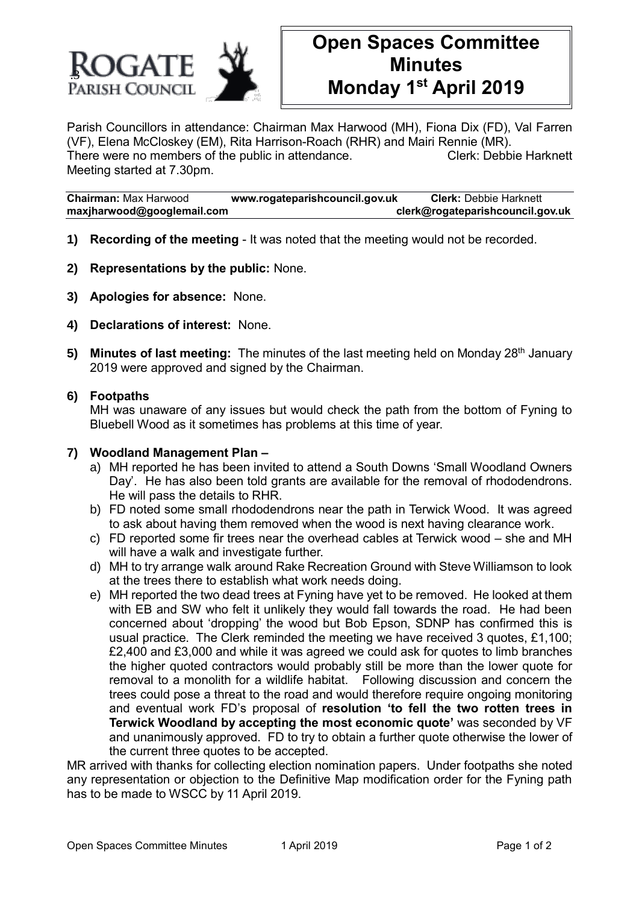

# **Open Spaces Committee Minutes Monday 1 st April 2019**

Parish Councillors in attendance: Chairman Max Harwood (MH), Fiona Dix (FD), Val Farren (VF), Elena McCloskey (EM), Rita Harrison-Roach (RHR) and Mairi Rennie (MR). There were no members of the public in attendance. Clerk: Debbie Harknett Meeting started at 7.30pm.

**Chairman:** Max Harwood **www.rogateparishcouncil.gov.uk Clerk:** Debbie Harknett **maxjharwood@googlemail.com clerk@rogateparishcouncil.gov.uk**

- **1) Recording of the meeting** It was noted that the meeting would not be recorded.
- **2) Representations by the public:** None.
- **3) Apologies for absence:** None.
- **4) Declarations of interest:** None.
- **5) Minutes of last meeting:** The minutes of the last meeting held on Monday 28<sup>th</sup> January 2019 were approved and signed by the Chairman.

## **6) Footpaths**

MH was unaware of any issues but would check the path from the bottom of Fyning to Bluebell Wood as it sometimes has problems at this time of year.

#### **7) Woodland Management Plan –**

- a) MH reported he has been invited to attend a South Downs 'Small Woodland Owners Day'. He has also been told grants are available for the removal of rhododendrons. He will pass the details to RHR.
- b) FD noted some small rhododendrons near the path in Terwick Wood. It was agreed to ask about having them removed when the wood is next having clearance work.
- c) FD reported some fir trees near the overhead cables at Terwick wood she and MH will have a walk and investigate further.
- d) MH to try arrange walk around Rake Recreation Ground with Steve Williamson to look at the trees there to establish what work needs doing.
- e) MH reported the two dead trees at Fyning have yet to be removed. He looked at them with EB and SW who felt it unlikely they would fall towards the road. He had been concerned about 'dropping' the wood but Bob Epson, SDNP has confirmed this is usual practice. The Clerk reminded the meeting we have received 3 quotes, £1,100; £2,400 and £3,000 and while it was agreed we could ask for quotes to limb branches the higher quoted contractors would probably still be more than the lower quote for removal to a monolith for a wildlife habitat. Following discussion and concern the trees could pose a threat to the road and would therefore require ongoing monitoring and eventual work FD's proposal of **resolution 'to fell the two rotten trees in Terwick Woodland by accepting the most economic quote'** was seconded by VF and unanimously approved. FD to try to obtain a further quote otherwise the lower of the current three quotes to be accepted.

MR arrived with thanks for collecting election nomination papers. Under footpaths she noted any representation or objection to the Definitive Map modification order for the Fyning path has to be made to WSCC by 11 April 2019.